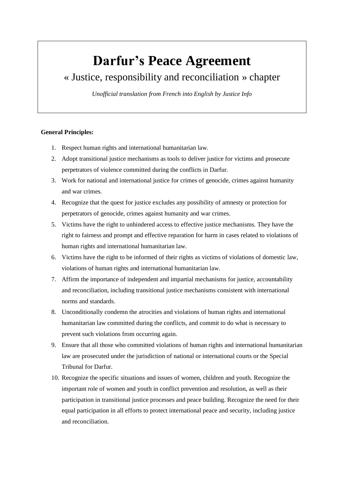# **Darfur's Peace Agreement**

## « Justice, responsibility and reconciliation » chapter

*Unofficial translation from French into English by Justice Info*

## **General Principles:**

- 1. Respect human rights and international humanitarian law.
- 2. Adopt transitional justice mechanisms as tools to deliver justice for victims and prosecute perpetrators of violence committed during the conflicts in Darfur.
- 3. Work for national and international justice for crimes of genocide, crimes against humanity and war crimes.
- 4. Recognize that the quest for justice excludes any possibility of amnesty or protection for perpetrators of genocide, crimes against humanity and war crimes.
- 5. Victims have the right to unhindered access to effective justice mechanisms. They have the right to fairness and prompt and effective reparation for harm in cases related to violations of human rights and international humanitarian law.
- 6. Victims have the right to be informed of their rights as victims of violations of domestic law, violations of human rights and international humanitarian law.
- 7. Affirm the importance of independent and impartial mechanisms for justice, accountability and reconciliation, including transitional justice mechanisms consistent with international norms and standards.
- 8. Unconditionally condemn the atrocities and violations of human rights and international humanitarian law committed during the conflicts, and commit to do what is necessary to prevent such violations from occurring again.
- 9. Ensure that all those who committed violations of human rights and international humanitarian law are prosecuted under the jurisdiction of national or international courts or the Special Tribunal for Darfur.
- 10. Recognize the specific situations and issues of women, children and youth. Recognize the important role of women and youth in conflict prevention and resolution, as well as their participation in transitional justice processes and peace building. Recognize the need for their equal participation in all efforts to protect international peace and security, including justice and reconciliation.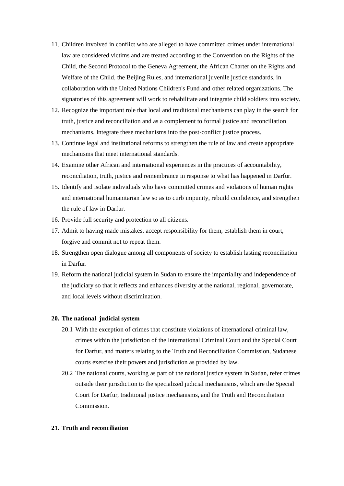- 11. Children involved in conflict who are alleged to have committed crimes under international law are considered victims and are treated according to the Convention on the Rights of the Child, the Second Protocol to the Geneva Agreement, the African Charter on the Rights and Welfare of the Child, the Beijing Rules, and international juvenile justice standards, in collaboration with the United Nations Children's Fund and other related organizations. The signatories of this agreement will work to rehabilitate and integrate child soldiers into society.
- 12. Recognize the important role that local and traditional mechanisms can play in the search for truth, justice and reconciliation and as a complement to formal justice and reconciliation mechanisms. Integrate these mechanisms into the post-conflict justice process.
- 13. Continue legal and institutional reforms to strengthen the rule of law and create appropriate mechanisms that meet international standards.
- 14. Examine other African and international experiences in the practices of accountability, reconciliation, truth, justice and remembrance in response to what has happened in Darfur.
- 15. Identify and isolate individuals who have committed crimes and violations of human rights and international humanitarian law so as to curb impunity, rebuild confidence, and strengthen the rule of law in Darfur.
- 16. Provide full security and protection to all citizens.
- 17. Admit to having made mistakes, accept responsibility for them, establish them in court, forgive and commit not to repeat them.
- 18. Strengthen open dialogue among all components of society to establish lasting reconciliation in Darfur.
- 19. Reform the national judicial system in Sudan to ensure the impartiality and independence of the judiciary so that it reflects and enhances diversity at the national, regional, governorate, and local levels without discrimination.

## **20. The national judicial system**

- 20.1 With the exception of crimes that constitute violations of international criminal law, crimes within the jurisdiction of the International Criminal Court and the Special Court for Darfur, and matters relating to the Truth and Reconciliation Commission, Sudanese courts exercise their powers and jurisdiction as provided by law.
- 20.2 The national courts, working as part of the national justice system in Sudan, refer crimes outside their jurisdiction to the specialized judicial mechanisms, which are the Special Court for Darfur, traditional justice mechanisms, and the Truth and Reconciliation Commission.

### **21. Truth and reconciliation**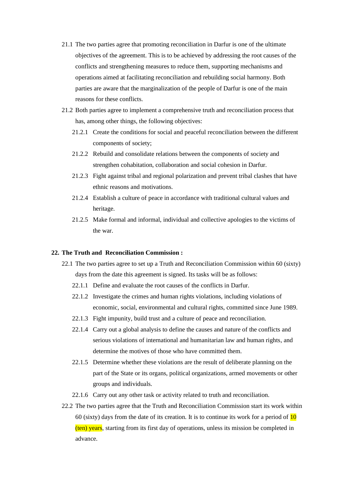- 21.1 The two parties agree that promoting reconciliation in Darfur is one of the ultimate objectives of the agreement. This is to be achieved by addressing the root causes of the conflicts and strengthening measures to reduce them, supporting mechanisms and operations aimed at facilitating reconciliation and rebuilding social harmony. Both parties are aware that the marginalization of the people of Darfur is one of the main reasons for these conflicts.
- 21.2 Both parties agree to implement a comprehensive truth and reconciliation process that has, among other things, the following objectives:
	- 21.2.1 Create the conditions for social and peaceful reconciliation between the different components of society;
	- 21.2.2 Rebuild and consolidate relations between the components of society and strengthen cohabitation, collaboration and social cohesion in Darfur.
	- 21.2.3 Fight against tribal and regional polarization and prevent tribal clashes that have ethnic reasons and motivations.
	- 21.2.4 Establish a culture of peace in accordance with traditional cultural values and heritage.
	- 21.2.5 Make formal and informal, individual and collective apologies to the victims of the war.

## **22. The Truth and Reconciliation Commission :**

- 22.1 The two parties agree to set up a Truth and Reconciliation Commission within 60 (sixty) days from the date this agreement is signed. Its tasks will be as follows:
	- 22.1.1 Define and evaluate the root causes of the conflicts in Darfur.
	- 22.1.2 Investigate the crimes and human rights violations, including violations of economic, social, environmental and cultural rights, committed since June 1989.
	- 22.1.3 Fight impunity, build trust and a culture of peace and reconciliation.
	- 22.1.4 Carry out a global analysis to define the causes and nature of the conflicts and serious violations of international and humanitarian law and human rights, and determine the motives of those who have committed them.
	- 22.1.5 Determine whether these violations are the result of deliberate planning on the part of the State or its organs, political organizations, armed movements or other groups and individuals.
	- 22.1.6 Carry out any other task or activity related to truth and reconciliation.
- 22.2 The two parties agree that the Truth and Reconciliation Commission start its work within 60 (sixty) days from the date of its creation. It is to continue its work for a period of  $\overline{10}$ (ten) years, starting from its first day of operations, unless its mission be completed in advance.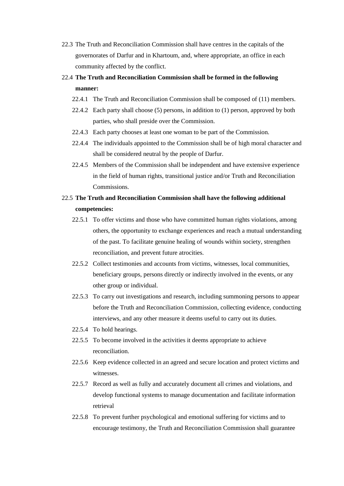- 22.3 The Truth and Reconciliation Commission shall have centres in the capitals of the governorates of Darfur and in Khartoum, and, where appropriate, an office in each community affected by the conflict.
- 22.4 **The Truth and Reconciliation Commission shall be formed in the following manner:**
	- 22.4.1 The Truth and Reconciliation Commission shall be composed of (11) members.
	- 22.4.2 Each party shall choose (5) persons, in addition to (1) person, approved by both parties, who shall preside over the Commission.
	- 22.4.3 Each party chooses at least one woman to be part of the Commission.
	- 22.4.4 The individuals appointed to the Commission shall be of high moral character and shall be considered neutral by the people of Darfur.
	- 22.4.5 Members of the Commission shall be independent and have extensive experience in the field of human rights, transitional justice and/or Truth and Reconciliation Commissions.

## 22.5 **The Truth and Reconciliation Commission shall have the following additional competencies:**

- 22.5.1 To offer victims and those who have committed human rights violations, among others, the opportunity to exchange experiences and reach a mutual understanding of the past. To facilitate genuine healing of wounds within society, strengthen reconciliation, and prevent future atrocities.
- 22.5.2 Collect testimonies and accounts from victims, witnesses, local communities, beneficiary groups, persons directly or indirectly involved in the events, or any other group or individual.
- 22.5.3 To carry out investigations and research, including summoning persons to appear before the Truth and Reconciliation Commission, collecting evidence, conducting interviews, and any other measure it deems useful to carry out its duties.
- 22.5.4 To hold hearings.
- 22.5.5 To become involved in the activities it deems appropriate to achieve reconciliation.
- 22.5.6 Keep evidence collected in an agreed and secure location and protect victims and witnesses.
- 22.5.7 Record as well as fully and accurately document all crimes and violations, and develop functional systems to manage documentation and facilitate information retrieval
- 22.5.8 To prevent further psychological and emotional suffering for victims and to encourage testimony, the Truth and Reconciliation Commission shall guarantee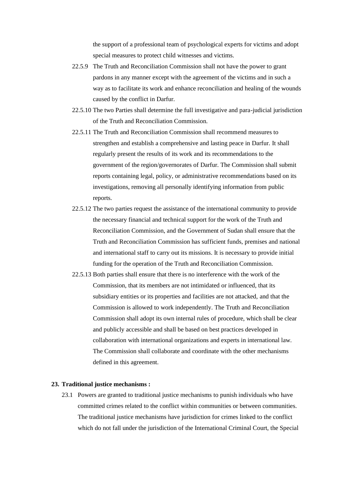the support of a professional team of psychological experts for victims and adopt special measures to protect child witnesses and victims.

- 22.5.9 The Truth and Reconciliation Commission shall not have the power to grant pardons in any manner except with the agreement of the victims and in such a way as to facilitate its work and enhance reconciliation and healing of the wounds caused by the conflict in Darfur.
- 22.5.10 The two Parties shall determine the full investigative and para-judicial jurisdiction of the Truth and Reconciliation Commission.
- 22.5.11 The Truth and Reconciliation Commission shall recommend measures to strengthen and establish a comprehensive and lasting peace in Darfur. It shall regularly present the results of its work and its recommendations to the government of the region/governorates of Darfur. The Commission shall submit reports containing legal, policy, or administrative recommendations based on its investigations, removing all personally identifying information from public reports.
- 22.5.12 The two parties request the assistance of the international community to provide the necessary financial and technical support for the work of the Truth and Reconciliation Commission, and the Government of Sudan shall ensure that the Truth and Reconciliation Commission has sufficient funds, premises and national and international staff to carry out its missions. It is necessary to provide initial funding for the operation of the Truth and Reconciliation Commission.
- 22.5.13 Both parties shall ensure that there is no interference with the work of the Commission, that its members are not intimidated or influenced, that its subsidiary entities or its properties and facilities are not attacked, and that the Commission is allowed to work independently. The Truth and Reconciliation Commission shall adopt its own internal rules of procedure, which shall be clear and publicly accessible and shall be based on best practices developed in collaboration with international organizations and experts in international law. The Commission shall collaborate and coordinate with the other mechanisms defined in this agreement.

## **23. Traditional justice mechanisms :**

23.1 Powers are granted to traditional justice mechanisms to punish individuals who have committed crimes related to the conflict within communities or between communities. The traditional justice mechanisms have jurisdiction for crimes linked to the conflict which do not fall under the jurisdiction of the International Criminal Court, the Special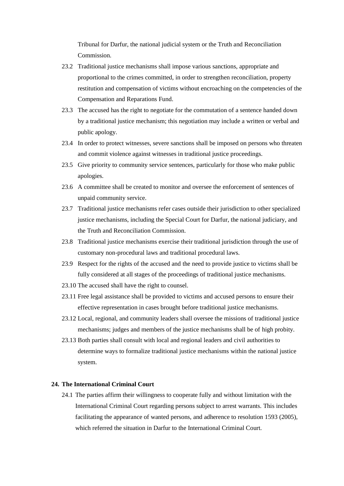Tribunal for Darfur, the national judicial system or the Truth and Reconciliation Commission.

- 23.2 Traditional justice mechanisms shall impose various sanctions, appropriate and proportional to the crimes committed, in order to strengthen reconciliation, property restitution and compensation of victims without encroaching on the competencies of the Compensation and Reparations Fund.
- 23.3 The accused has the right to negotiate for the commutation of a sentence handed down by a traditional justice mechanism; this negotiation may include a written or verbal and public apology.
- 23.4 In order to protect witnesses, severe sanctions shall be imposed on persons who threaten and commit violence against witnesses in traditional justice proceedings.
- 23.5 Give priority to community service sentences, particularly for those who make public apologies.
- 23.6 A committee shall be created to monitor and oversee the enforcement of sentences of unpaid community service.
- 23.7 Traditional justice mechanisms refer cases outside their jurisdiction to other specialized justice mechanisms, including the Special Court for Darfur, the national judiciary, and the Truth and Reconciliation Commission.
- 23.8 Traditional justice mechanisms exercise their traditional jurisdiction through the use of customary non-procedural laws and traditional procedural laws.
- 23.9 Respect for the rights of the accused and the need to provide justice to victims shall be fully considered at all stages of the proceedings of traditional justice mechanisms.
- 23.10 The accused shall have the right to counsel.
- 23.11 Free legal assistance shall be provided to victims and accused persons to ensure their effective representation in cases brought before traditional justice mechanisms.
- 23.12 Local, regional, and community leaders shall oversee the missions of traditional justice mechanisms; judges and members of the justice mechanisms shall be of high probity.
- 23.13 Both parties shall consult with local and regional leaders and civil authorities to determine ways to formalize traditional justice mechanisms within the national justice system.

## **24. The International Criminal Court**

24.1 The parties affirm their willingness to cooperate fully and without limitation with the International Criminal Court regarding persons subject to arrest warrants. This includes facilitating the appearance of wanted persons, and adherence to resolution 1593 (2005), which referred the situation in Darfur to the International Criminal Court.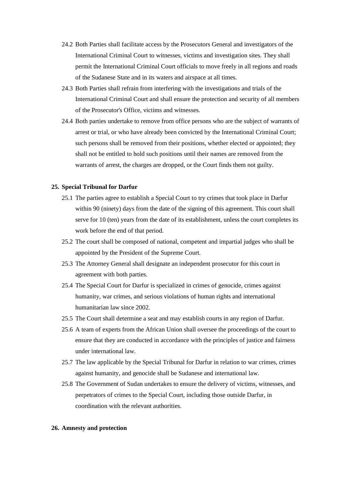- 24.2 Both Parties shall facilitate access by the Prosecutors General and investigators of the International Criminal Court to witnesses, victims and investigation sites. They shall permit the International Criminal Court officials to move freely in all regions and roads of the Sudanese State and in its waters and airspace at all times.
- 24.3 Both Parties shall refrain from interfering with the investigations and trials of the International Criminal Court and shall ensure the protection and security of all members of the Prosecutor's Office, victims and witnesses.
- 24.4 Both parties undertake to remove from office persons who are the subject of warrants of arrest or trial, or who have already been convicted by the International Criminal Court; such persons shall be removed from their positions, whether elected or appointed; they shall not be entitled to hold such positions until their names are removed from the warrants of arrest, the charges are dropped, or the Court finds them not guilty.

## **25. Special Tribunal for Darfur**

- 25.1 The parties agree to establish a Special Court to try crimes that took place in Darfur within 90 (ninety) days from the date of the signing of this agreement. This court shall serve for 10 (ten) years from the date of its establishment, unless the court completes its work before the end of that period.
- 25.2 The court shall be composed of national, competent and impartial judges who shall be appointed by the President of the Supreme Court.
- 25.3 The Attorney General shall designate an independent prosecutor for this court in agreement with both parties.
- 25.4 The Special Court for Darfur is specialized in crimes of genocide, crimes against humanity, war crimes, and serious violations of human rights and international humanitarian law since 2002.
- 25.5 The Court shall determine a seat and may establish courts in any region of Darfur.
- 25.6 A team of experts from the African Union shall oversee the proceedings of the court to ensure that they are conducted in accordance with the principles of justice and fairness under international law.
- 25.7 The law applicable by the Special Tribunal for Darfur in relation to war crimes, crimes against humanity, and genocide shall be Sudanese and international law.
- 25.8 The Government of Sudan undertakes to ensure the delivery of victims, witnesses, and perpetrators of crimes to the Special Court, including those outside Darfur, in coordination with the relevant authorities.

#### **26. Amnesty and protection**